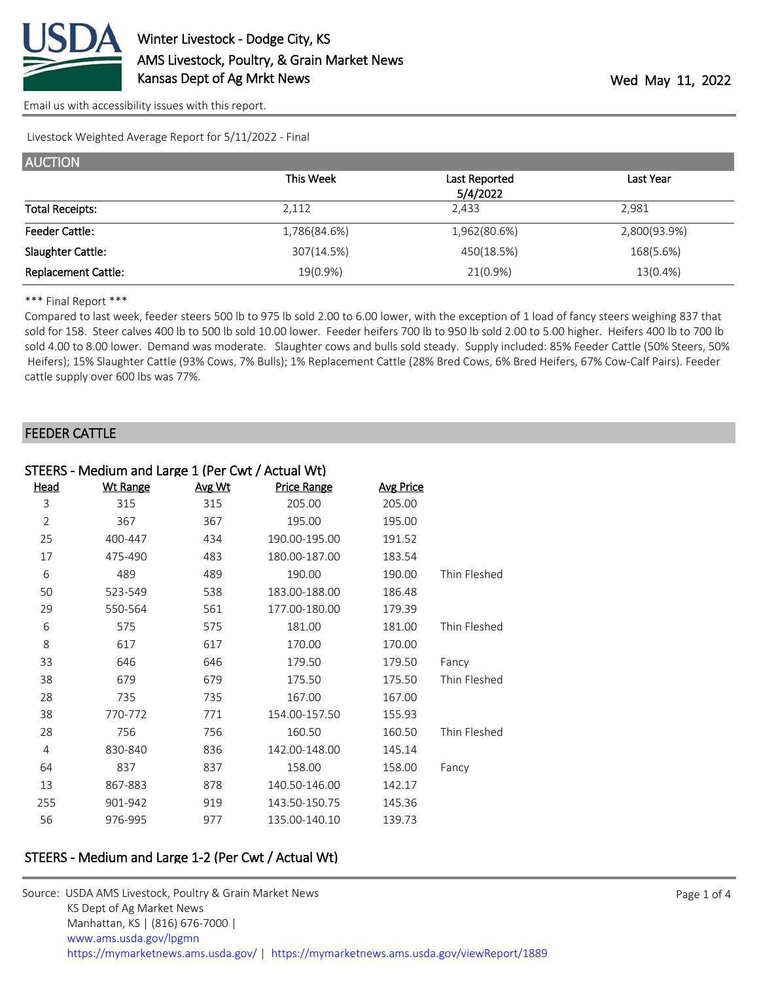

[Email us with accessibility issues with this report.](mailto:mars@ams.usda.gov?subject=508%20issue)

Livestock Weighted Average Report for 5/11/2022 - Final

| <b>AUCTION</b>             |              |               |              |
|----------------------------|--------------|---------------|--------------|
|                            | This Week    | Last Reported | Last Year    |
|                            |              | 5/4/2022      |              |
| <b>Total Receipts:</b>     | 2,112        | 2,433         | 2,981        |
| <b>Feeder Cattle:</b>      | 1,786(84.6%) | 1,962(80.6%)  | 2,800(93.9%) |
| Slaughter Cattle:          | 307(14.5%)   | 450(18.5%)    | 168(5.6%)    |
| <b>Replacement Cattle:</b> | 19(0.9%)     | $21(0.9\%)$   | 13(0.4%)     |

#### \*\*\* Final Report \*\*\*

Compared to last week, feeder steers 500 lb to 975 lb sold 2.00 to 6.00 lower, with the exception of 1 load of fancy steers weighing 837 that sold for 158. Steer calves 400 lb to 500 lb sold 10.00 lower. Feeder heifers 700 lb to 950 lb sold 2.00 to 5.00 higher. Heifers 400 lb to 700 lb sold 4.00 to 8.00 lower. Demand was moderate. Slaughter cows and bulls sold steady. Supply included: 85% Feeder Cattle (50% Steers, 50% Heifers); 15% Slaughter Cattle (93% Cows, 7% Bulls); 1% Replacement Cattle (28% Bred Cows, 6% Bred Heifers, 67% Cow-Calf Pairs). Feeder cattle supply over 600 lbs was 77%.

### FEEDER CATTLE

|                | STEERS - Medium and Large 1 (Per Cwt / Actual Wt) |        |                    |                  |              |  |
|----------------|---------------------------------------------------|--------|--------------------|------------------|--------------|--|
| <u>Head</u>    | <b>Wt Range</b>                                   | Avg Wt | <b>Price Range</b> | <b>Avg Price</b> |              |  |
| 3              | 315                                               | 315    | 205.00             | 205.00           |              |  |
| $\overline{2}$ | 367                                               | 367    | 195.00             | 195.00           |              |  |
| 25             | 400-447                                           | 434    | 190.00-195.00      | 191.52           |              |  |
| 17             | 475-490                                           | 483    | 180.00-187.00      | 183.54           |              |  |
| 6              | 489                                               | 489    | 190.00             | 190.00           | Thin Fleshed |  |
| 50             | 523-549                                           | 538    | 183.00-188.00      | 186.48           |              |  |
| 29             | 550-564                                           | 561    | 177.00-180.00      | 179.39           |              |  |
| 6              | 575                                               | 575    | 181.00             | 181.00           | Thin Fleshed |  |
| 8              | 617                                               | 617    | 170.00             | 170.00           |              |  |
| 33             | 646                                               | 646    | 179.50             | 179.50           | Fancy        |  |
| 38             | 679                                               | 679    | 175.50             | 175.50           | Thin Fleshed |  |
| 28             | 735                                               | 735    | 167.00             | 167.00           |              |  |
| 38             | 770-772                                           | 771    | 154.00-157.50      | 155.93           |              |  |
| 28             | 756                                               | 756    | 160.50             | 160.50           | Thin Fleshed |  |
| 4              | 830-840                                           | 836    | 142.00-148.00      | 145.14           |              |  |
| 64             | 837                                               | 837    | 158.00             | 158.00           | Fancy        |  |
| 13             | 867-883                                           | 878    | 140.50-146.00      | 142.17           |              |  |
| 255            | 901-942                                           | 919    | 143.50-150.75      | 145.36           |              |  |
| 56             | 976-995                                           | 977    | 135.00-140.10      | 139.73           |              |  |
|                |                                                   |        |                    |                  |              |  |

# STEERS - Medium and Large 1-2 (Per Cwt / Actual Wt)

| Source: USDA AMS Livestock, Poultry & Grain Market News                                |
|----------------------------------------------------------------------------------------|
| KS Dept of Ag Market News                                                              |
| Manhattan, KS   (816) 676-7000                                                         |
| www.ams.usda.gov/lpgmn                                                                 |
| https://mymarketnews.ams.usda.gov/   https://mymarketnews.ams.usda.gov/viewReport/1889 |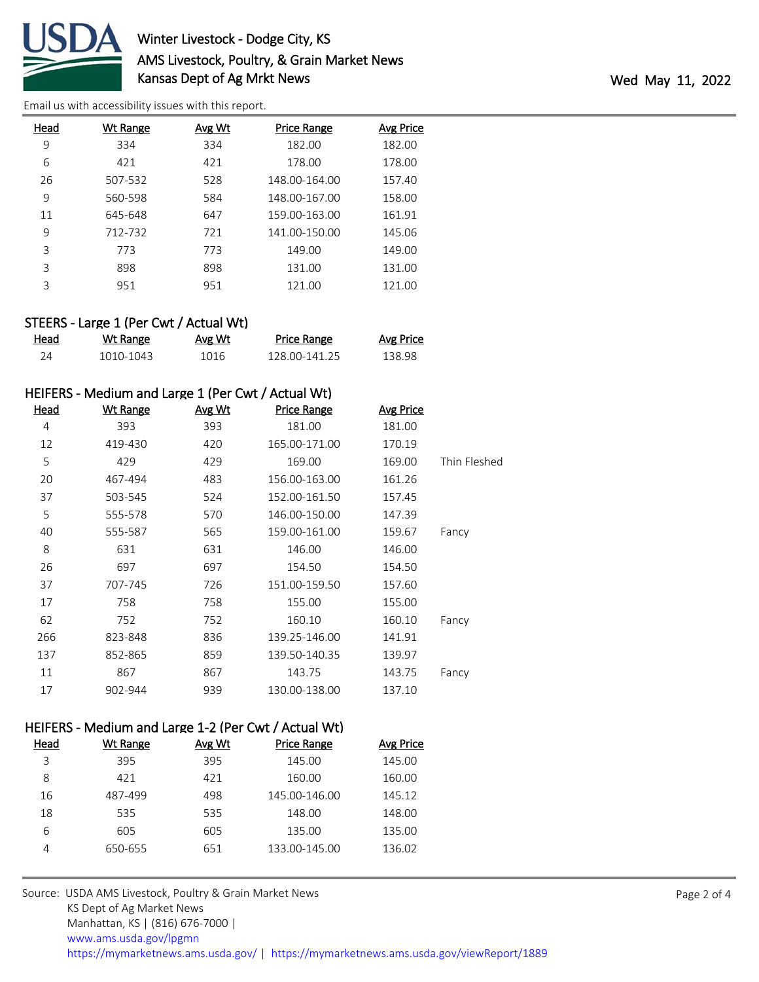

# Winter Livestock - Dodge City, KS AMS Livestock, Poultry, & Grain Market News Kansas Dept of Ag Mrkt News Wed May 11, 2022

[Email us with accessibility issues with this report.](mailto:mars@ams.usda.gov?subject=508%20issue)

| Head | Wt Range | Avg Wt | <b>Price Range</b> | <b>Avg Price</b> |
|------|----------|--------|--------------------|------------------|
| 9    | 334      | 334    | 182.00             | 182.00           |
| 6    | 421      | 421    | 178.00             | 178.00           |
| 26   | 507-532  | 528    | 148.00-164.00      | 157.40           |
| 9    | 560-598  | 584    | 148.00-167.00      | 158.00           |
| 11   | 645-648  | 647    | 159.00-163.00      | 161.91           |
| 9    | 712-732  | 721    | 141.00-150.00      | 145.06           |
| 3    | 773      | 773    | 149.00             | 149.00           |
| 3    | 898      | 898    | 131.00             | 131.00           |
| 3    | 951      | 951    | 121.00             | 121.00           |

## STEERS - Large 1 (Per Cwt / Actual Wt)

| Head | Wt Range  | Avg Wt | Price Range   | Avg Price |
|------|-----------|--------|---------------|-----------|
|      | 1010-1043 | 1016   | 128 00-141 25 | 138.98    |

## HEIFERS - Medium and Large 1 (Per Cwt / Actual Wt)

| Head | <b>Wt Range</b> | <u>Avg Wt</u> | <u>Price Range</u> | <b>Avg Price</b> |              |
|------|-----------------|---------------|--------------------|------------------|--------------|
| 4    | 393             | 393           | 181.00             | 181.00           |              |
| 12   | 419-430         | 420           | 165.00-171.00      | 170.19           |              |
| 5    | 429             | 429           | 169.00             | 169.00           | Thin Fleshed |
| 20   | 467-494         | 483           | 156.00-163.00      | 161.26           |              |
| 37   | 503-545         | 524           | 152.00-161.50      | 157.45           |              |
| 5    | 555-578         | 570           | 146.00-150.00      | 147.39           |              |
| 40   | 555-587         | 565           | 159.00-161.00      | 159.67           | Fancy        |
| 8    | 631             | 631           | 146.00             | 146.00           |              |
| 26   | 697             | 697           | 154.50             | 154.50           |              |
| 37   | 707-745         | 726           | 151.00-159.50      | 157.60           |              |
| 17   | 758             | 758           | 155.00             | 155.00           |              |
| 62   | 752             | 752           | 160.10             | 160.10           | Fancy        |
| 266  | 823-848         | 836           | 139.25-146.00      | 141.91           |              |
| 137  | 852-865         | 859           | 139.50-140.35      | 139.97           |              |
| 11   | 867             | 867           | 143.75             | 143.75           | Fancy        |
| 17   | 902-944         | 939           | 130.00-138.00      | 137.10           |              |

## HEIFERS - Medium and Large 1-2 (Per Cwt / Actual Wt)

| Head | Wt Range | Avg Wt | <b>Price Range</b> | Avg Price |
|------|----------|--------|--------------------|-----------|
| 3    | 395      | 395    | 145.00             | 145.00    |
| 8    | 421      | 421    | 160.00             | 160.00    |
| 16   | 487-499  | 498    | 145.00-146.00      | 145.12    |
| 18   | 535      | 535    | 148.00             | 148.00    |
| 6    | 605      | 605    | 135.00             | 135.00    |
|      | 650-655  | 651    | 133.00-145.00      | 136.02    |
|      |          |        |                    |           |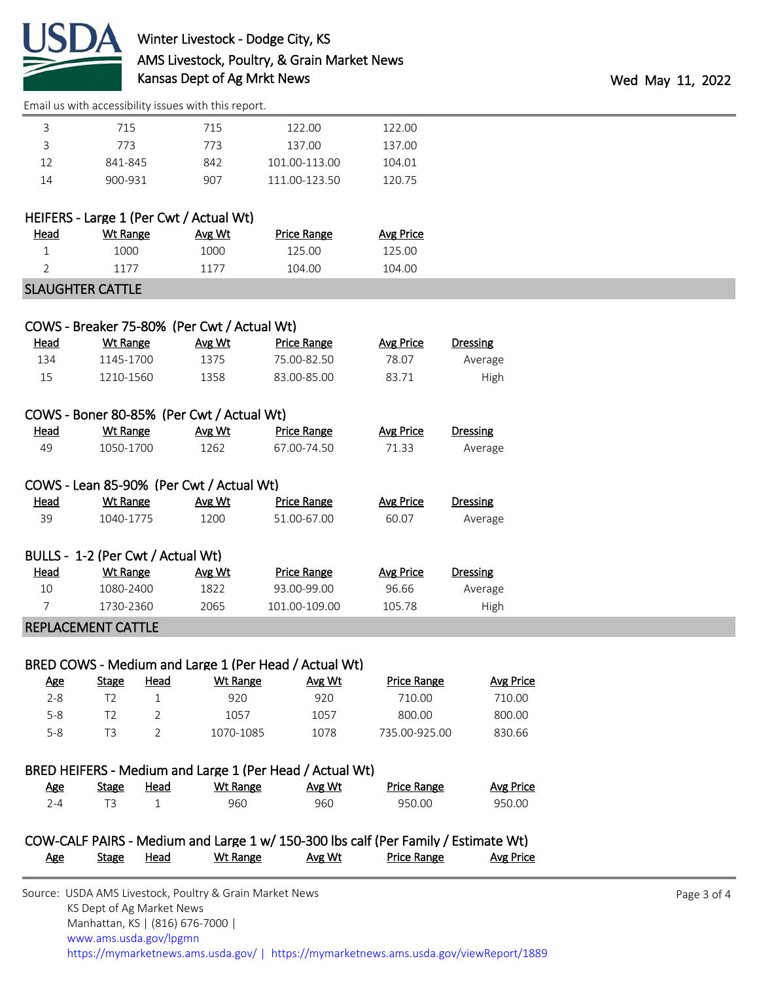

[Email us with accessibility issues with this report.](mailto:mars@ams.usda.gov?subject=508%20issue)

|    | 715     | 715  | 122.00        | 122.00 |  |
|----|---------|------|---------------|--------|--|
|    | 773.    | 773. | 137.00        | 137.00 |  |
| 12 | 841-845 | 842  | 101.00-113.00 | 104.01 |  |
| 14 | 900-931 | 907  | 111.00-123.50 | 120.75 |  |

## HEIFERS - Large 1 (Per Cwt / Actual Wt)

| Head | Wt Range | Avg Wt | Price Range | Avg Price |
|------|----------|--------|-------------|-----------|
|      | 1000     | 1000   | 125.00      | 125.OO    |
|      | 1177     | 1177   | 104.00      | 104.00    |
|      |          |        |             |           |

### SLAUGHTER CATTLE

|      | COWS - Breaker 75-80% (Per Cwt / Actual Wt) |        |             |           |                 |
|------|---------------------------------------------|--------|-------------|-----------|-----------------|
| Head | Wt Range                                    | Avg Wt | Price Range | Avg Price | <b>Dressing</b> |
| 134  | 1145-1700                                   | 1375   | 75.00-82.50 | 78.07     | Average         |
| 15   | 1210-1560                                   | 1358   | 83.00-85.00 | 83.71     | High            |

# COWS - Boner 80-85% (Per Cwt / Actual Wt)

| <b>Head</b> | Wt Range  | Avg Wt | <b>Price Range</b> | Avg Price | Dressing |
|-------------|-----------|--------|--------------------|-----------|----------|
| 49          | 1050-1700 | 1262   | 67.00-74.50        | 71.33     | Average  |

# COWS - Lean 85-90% (Per Cwt / Actual Wt)

| <b>Head</b> | Wt Range  | Avg Wt | Price Range | Avg Price | <b>Dressing</b> |
|-------------|-----------|--------|-------------|-----------|-----------------|
| 39          | 1040-1775 | 1200   | 51.00-67.00 | 60.07     | Average         |

|             | BULLS - 1-2 (Per Cwt / Actual Wt) |        |               |           |                 |  |
|-------------|-----------------------------------|--------|---------------|-----------|-----------------|--|
| <u>Head</u> | Wt Range                          | Avg Wt | Price Range   | Avg Price | <b>Dressing</b> |  |
| 10          | 1080-2400                         | 1822   | 93.00-99.00   | 96.66     | Average         |  |
|             | 1730-2360                         | 2065   | 101.00-109.00 | 105.78    | High            |  |

### REPLACEMENT CATTLE

### BRED COWS - Medium and Large 1 (Per Head / Actual Wt)

| Age     | <b>Stage</b> | Head | Wt Range  | Avg Wt | <b>Price Range</b> | Avg Price |
|---------|--------------|------|-----------|--------|--------------------|-----------|
| $2 - 8$ |              |      | 920       | 920    | 710.00             | 710.00    |
| $5 - 8$ |              |      | 1057      | 1057   | 800.00             | 800.00    |
| $5 - 8$ | тз           |      | 1070-1085 | 1078   | 735.00-925.00      | 830.66    |

## BRED HEIFERS - Medium and Large 1 (Per Head / Actual Wt)

| Age | Stage | Head | Wt Range | Avg Wt | <b>Price Range</b> | Avg Price |
|-----|-------|------|----------|--------|--------------------|-----------|
| י ⊿ |       |      | 960      | 960    | 950.00             | 950.00    |

## COW-CALF PAIRS - Medium and Large 1 w/ 150-300 lbs calf (Per Family / Estimate Wt) Age Stage Head Wt Range Avg Wt Price Range Avg Price